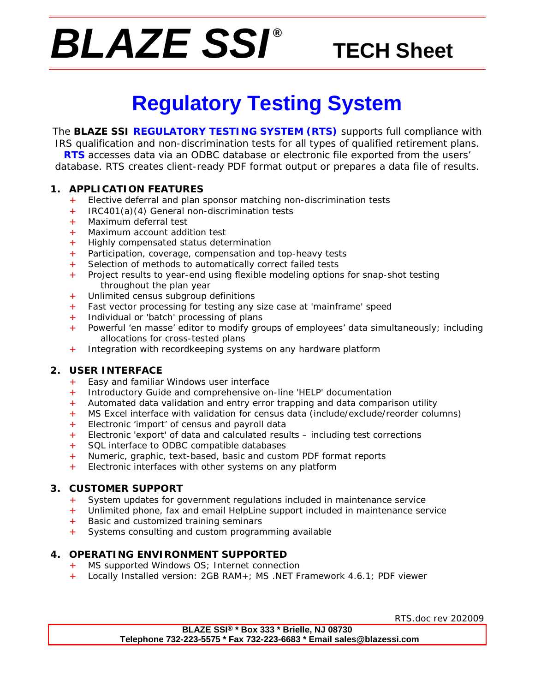# *BLAZE SSI ®*

# **TECH Sheet**

# **Regulatory Testing System**

The **BLAZE SSI REGULATORY TESTING SYSTEM (RTS)** supports full compliance with IRS qualification and non-discrimination tests for all types of qualified retirement plans. **RTS** accesses data via an ODBC database or electronic file exported from the users' database. RTS creates client-ready PDF format output or prepares a data file of results.

#### **1. APPLICATION FEATURES**

- + Elective deferral and plan sponsor matching non-discrimination tests
- + IRC401(a)(4) General non-discrimination tests
- Maximum deferral test
- + Maximum account addition test
- + Highly compensated status determination
- + Participation, coverage, compensation and top-heavy tests
- + Selection of methods to automatically correct failed tests
- + Project results to year-end using flexible modeling options for snap-shot testing throughout the plan year
- + Unlimited census subgroup definitions
- + Fast vector processing for testing any size case at 'mainframe' speed
- + Individual or 'batch' processing of plans
- Powerful 'en masse' editor to modify groups of employees' data simultaneously; including allocations for cross-tested plans
- + Integration with recordkeeping systems on any hardware platform

### **2. USER INTERFACE**

- + Easy and familiar Windows user interface
- + Introductory Guide and comprehensive on-line 'HELP' documentation
- + Automated data validation and entry error trapping and data comparison utility
- + MS Excel interface with validation for census data (include/exclude/reorder columns)
- + Electronic 'import' of census and payroll data
- + Electronic 'export' of data and calculated results including test corrections
- + SQL interface to ODBC compatible databases
- + Numeric, graphic, text-based, basic and custom PDF format reports
- Electronic interfaces with other systems on any platform

#### **3. CUSTOMER SUPPORT**

- + System updates for government regulations included in maintenance service
- + Unlimited phone, fax and email HelpLine support included in maintenance service
- Basic and customized training seminars
- + Systems consulting and custom programming available

## **4. OPERATING ENVIRONMENT SUPPORTED**

- + MS supported Windows OS; Internet connection
- + Locally Installed version: 2GB RAM+; MS .NET Framework 4.6.1; PDF viewer

RTS.doc rev 202009